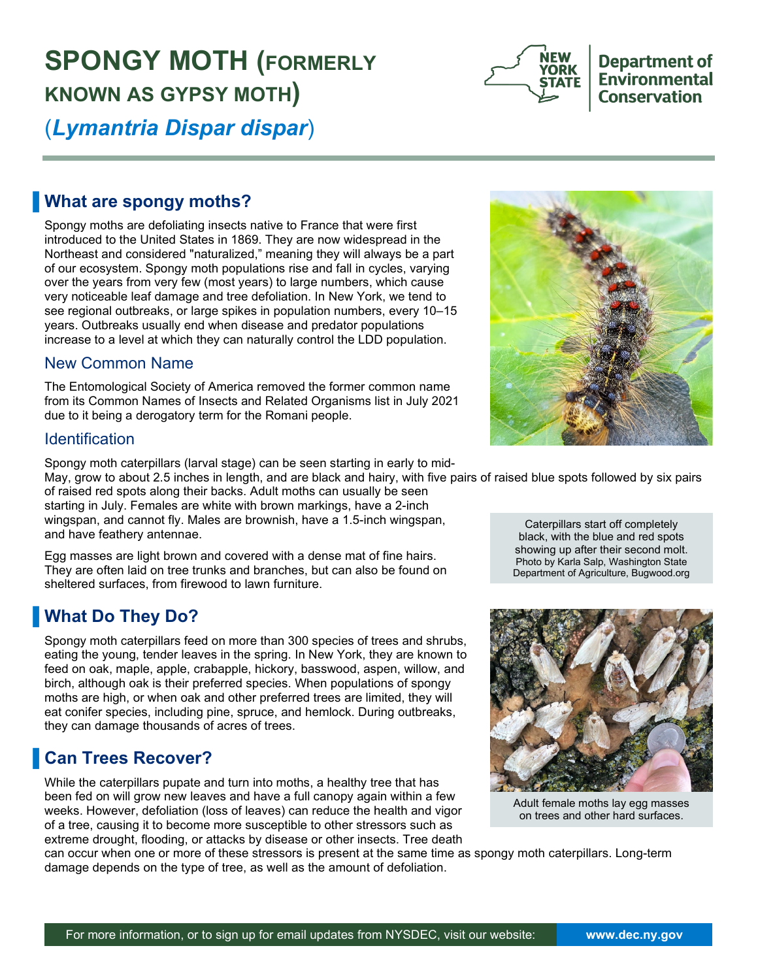# **SPONGY MOTH (FORMERLY KNOWN AS GYPSY MOTH)**



### **What are spongy moths?**

Spongy moths are defoliating insects native to France that were first introduced to the United States in 1869. They are now widespread in the Northeast and considered "naturalized," meaning they will always be a part of our ecosystem. Spongy moth populations rise and fall in cycles, varying over the years from very few (most years) to large numbers, which cause very noticeable leaf damage and tree defoliation. In New York, we tend to see regional outbreaks, or large spikes in population numbers, every 10–15 years. Outbreaks usually end when disease and predator populations increase to a level at which they can naturally control the LDD population.

#### New Common Name

The Entomological Society of America removed the former common name from its Common Names of Insects and Related Organisms list in July 2021 due to it being a derogatory term for the Romani people.

#### **Identification**

Spongy moth caterpillars (larval stage) can be seen starting in early to mid-

May, grow to about 2.5 inches in length, and are black and hairy, with five pairs of raised blue spots followed by six pairs of raised red spots along their backs. Adult moths can usually be seen

starting in July. Females are white with brown markings, have a 2-inch wingspan, and cannot fly. Males are brownish, have a 1.5-inch wingspan, and have feathery antennae.

Egg masses are light brown and covered with a dense mat of fine hairs. They are often laid on tree trunks and branches, but can also be found on sheltered surfaces, from firewood to lawn furniture.

### **What Do They Do?**

Spongy moth caterpillars feed on more than 300 species of trees and shrubs, eating the young, tender leaves in the spring. In New York, they are known to feed on oak, maple, apple, crabapple, hickory, basswood, aspen, willow, and birch, although oak is their preferred species. When populations of spongy moths are high, or when oak and other preferred trees are limited, they will eat conifer species, including pine, spruce, and hemlock. During outbreaks, they can damage thousands of acres of trees.

# ▐ **Can Trees Recover?**

While the caterpillars pupate and turn into moths, a healthy tree that has been fed on will grow new leaves and have a full canopy again within a few weeks. However, defoliation (loss of leaves) can reduce the health and vigor of a tree, causing it to become more susceptible to other stressors such as extreme drought, flooding, or attacks by disease or other insects. Tree death

can occur when one or more of these stressors is present at the same time as spongy moth caterpillars. Long-term damage depends on the type of tree, as well as the amount of defoliation.





Adult female moths lay egg masses on trees and other hard surfaces.

showing up after their second molt. Photo by Karla Salp, Washington State Department of Agriculture, Bugwood.org

**Department of Environmental Conservation** 

**YORK** 

**STATE**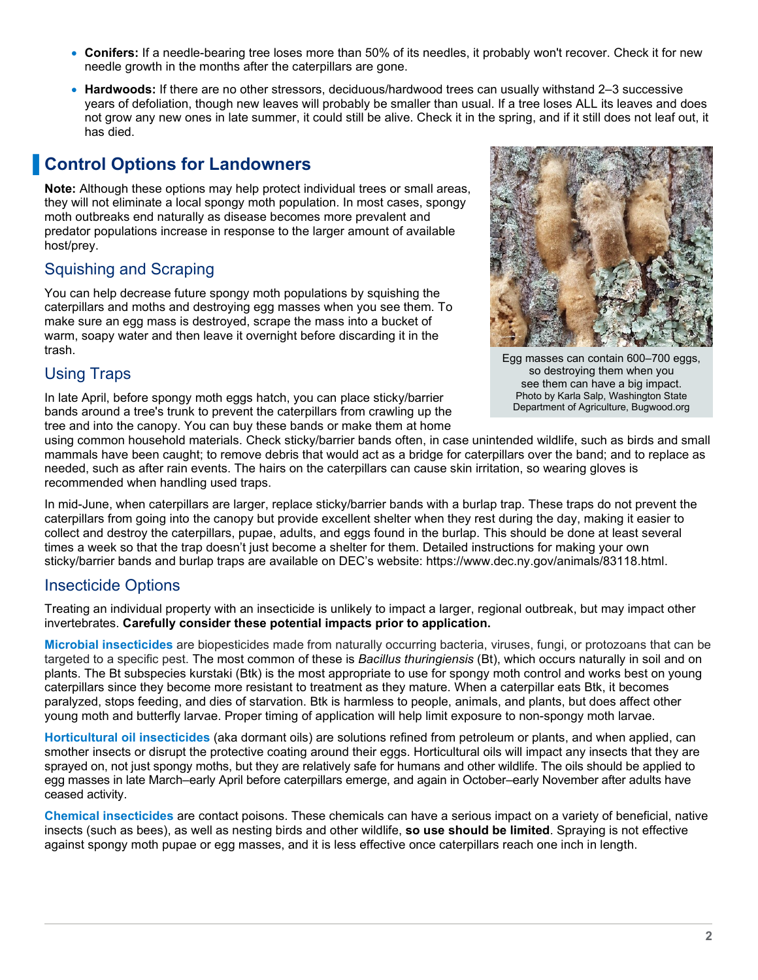- **Conifers:** If a needle-bearing tree loses more than 50% of its needles, it probably won't recover. Check it for new needle growth in the months after the caterpillars are gone.
- **Hardwoods:** If there are no other stressors, deciduous/hardwood trees can usually withstand 2–3 successive years of defoliation, though new leaves will probably be smaller than usual. If a tree loses ALL its leaves and does not grow any new ones in late summer, it could still be alive. Check it in the spring, and if it still does not leaf out, it has died.

## **Control Options for Landowners**

**Note:** Although these options may help protect individual trees or small areas, they will not eliminate a local spongy moth population. In most cases, spongy moth outbreaks end naturally as disease becomes more prevalent and predator populations increase in response to the larger amount of available host/prey.

### Squishing and Scraping

You can help decrease future spongy moth populations by squishing the caterpillars and moths and destroying egg masses when you see them. To make sure an egg mass is destroyed, scrape the mass into a bucket of warm, soapy water and then leave it overnight before discarding it in the trash.

#### Using Traps

In late April, before spongy moth eggs hatch, you can place sticky/barrier bands around a tree's trunk to prevent the caterpillars from crawling up the tree and into the canopy. You can buy these bands or make them at home



Egg masses can contain 600–700 eggs, so destroying them when you see them can have a big impact. Photo by Karla Salp, Washington State Department of Agriculture, Bugwood.org

using common household materials. Check sticky/barrier bands often, in case unintended wildlife, such as birds and small mammals have been caught; to remove debris that would act as a bridge for caterpillars over the band; and to replace as needed, such as after rain events. The hairs on the caterpillars can cause skin irritation, so wearing gloves is recommended when handling used traps.

In mid-June, when caterpillars are larger, replace sticky/barrier bands with a burlap trap. These traps do not prevent the caterpillars from going into the canopy but provide excellent shelter when they rest during the day, making it easier to collect and destroy the caterpillars, pupae, adults, and eggs found in the burlap. This should be done at least several times a week so that the trap doesn't just become a shelter for them. Detailed instructions for making your own sticky/barrier bands and burlap traps are available on DEC's website: [https://www.dec.ny.gov/animals/83118.html.](https://www.dec.ny.gov/animals/83118.html)

#### Insecticide Options

Treating an individual property with an insecticide is unlikely to impact a larger, regional outbreak, but may impact other invertebrates. **Carefully consider these potential impacts prior to application.**

**Microbial insecticides** are biopesticides made from naturally occurring bacteria, viruses, fungi, or protozoans that can be targeted to a specific pest. The most common of these is *Bacillus thuringiensis* (Bt), which occurs naturally in soil and on plants. The Bt subspecies kurstaki (Btk) is the most appropriate to use for spongy moth control and works best on young caterpillars since they become more resistant to treatment as they mature. When a caterpillar eats Btk, it becomes paralyzed, stops feeding, and dies of starvation. Btk is harmless to people, animals, and plants, but does affect other young moth and butterfly larvae. Proper timing of application will help limit exposure to non-spongy moth larvae.

**Horticultural oil insecticides** (aka dormant oils) are solutions refined from petroleum or plants, and when applied, can smother insects or disrupt the protective coating around their eggs. Horticultural oils will impact any insects that they are sprayed on, not just spongy moths, but they are relatively safe for humans and other wildlife. The oils should be applied to egg masses in late March–early April before caterpillars emerge, and again in October–early November after adults have ceased activity.

**Chemical insecticides** are contact poisons. These chemicals can have a serious impact on a variety of beneficial, native insects (such as bees), as well as nesting birds and other wildlife, **so use should be limited**. Spraying is not effective against spongy moth pupae or egg masses, and it is less effective once caterpillars reach one inch in length.